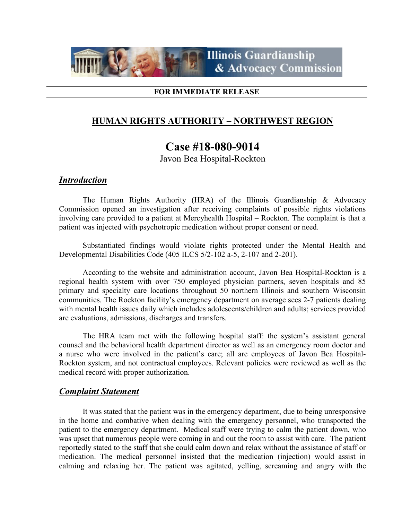

#### FOR IMMEDIATE RELEASE

# HUMAN RIGHTS AUTHORITY – NORTHWEST REGION

# Case #18-080-9014

Javon Bea Hospital-Rockton

### **Introduction**

The Human Rights Authority (HRA) of the Illinois Guardianship & Advocacy Commission opened an investigation after receiving complaints of possible rights violations involving care provided to a patient at Mercyhealth Hospital – Rockton. The complaint is that a patient was injected with psychotropic medication without proper consent or need.

Substantiated findings would violate rights protected under the Mental Health and Developmental Disabilities Code (405 ILCS 5/2-102 a-5, 2-107 and 2-201).

According to the website and administration account, Javon Bea Hospital-Rockton is a regional health system with over 750 employed physician partners, seven hospitals and 85 primary and specialty care locations throughout 50 northern Illinois and southern Wisconsin communities. The Rockton facility's emergency department on average sees 2-7 patients dealing with mental health issues daily which includes adolescents/children and adults; services provided are evaluations, admissions, discharges and transfers.

The HRA team met with the following hospital staff: the system's assistant general counsel and the behavioral health department director as well as an emergency room doctor and a nurse who were involved in the patient's care; all are employees of Javon Bea Hospital-Rockton system, and not contractual employees. Relevant policies were reviewed as well as the medical record with proper authorization.

### Complaint Statement

It was stated that the patient was in the emergency department, due to being unresponsive in the home and combative when dealing with the emergency personnel, who transported the patient to the emergency department. Medical staff were trying to calm the patient down, who was upset that numerous people were coming in and out the room to assist with care. The patient reportedly stated to the staff that she could calm down and relax without the assistance of staff or medication. The medical personnel insisted that the medication (injection) would assist in calming and relaxing her. The patient was agitated, yelling, screaming and angry with the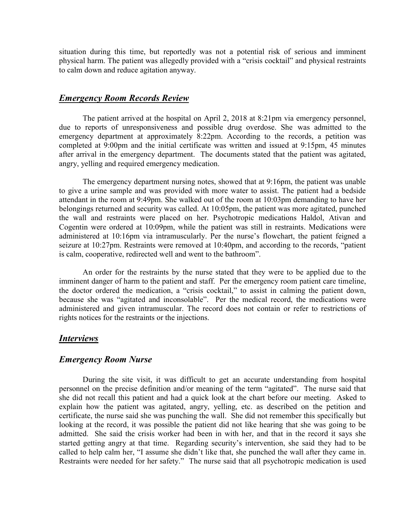situation during this time, but reportedly was not a potential risk of serious and imminent physical harm. The patient was allegedly provided with a "crisis cocktail" and physical restraints to calm down and reduce agitation anyway.

#### Emergency Room Records Review

The patient arrived at the hospital on April 2, 2018 at 8:21pm via emergency personnel, due to reports of unresponsiveness and possible drug overdose. She was admitted to the emergency department at approximately 8:22pm. According to the records, a petition was completed at 9:00pm and the initial certificate was written and issued at 9:15pm, 45 minutes after arrival in the emergency department. The documents stated that the patient was agitated, angry, yelling and required emergency medication.

The emergency department nursing notes, showed that at 9:16pm, the patient was unable to give a urine sample and was provided with more water to assist. The patient had a bedside attendant in the room at 9:49pm. She walked out of the room at 10:03pm demanding to have her belongings returned and security was called. At 10:05pm, the patient was more agitated, punched the wall and restraints were placed on her. Psychotropic medications Haldol, Ativan and Cogentin were ordered at 10:09pm, while the patient was still in restraints. Medications were administered at 10:16pm via intramuscularly. Per the nurse's flowchart, the patient feigned a seizure at 10:27pm. Restraints were removed at 10:40pm, and according to the records, "patient is calm, cooperative, redirected well and went to the bathroom".

An order for the restraints by the nurse stated that they were to be applied due to the imminent danger of harm to the patient and staff. Per the emergency room patient care timeline, the doctor ordered the medication, a "crisis cocktail," to assist in calming the patient down, because she was "agitated and inconsolable". Per the medical record, the medications were administered and given intramuscular. The record does not contain or refer to restrictions of rights notices for the restraints or the injections.

#### Interviews

#### Emergency Room Nurse

During the site visit, it was difficult to get an accurate understanding from hospital personnel on the precise definition and/or meaning of the term "agitated". The nurse said that she did not recall this patient and had a quick look at the chart before our meeting. Asked to explain how the patient was agitated, angry, yelling, etc. as described on the petition and certificate, the nurse said she was punching the wall. She did not remember this specifically but looking at the record, it was possible the patient did not like hearing that she was going to be admitted. She said the crisis worker had been in with her, and that in the record it says she started getting angry at that time. Regarding security's intervention, she said they had to be called to help calm her, "I assume she didn't like that, she punched the wall after they came in. Restraints were needed for her safety." The nurse said that all psychotropic medication is used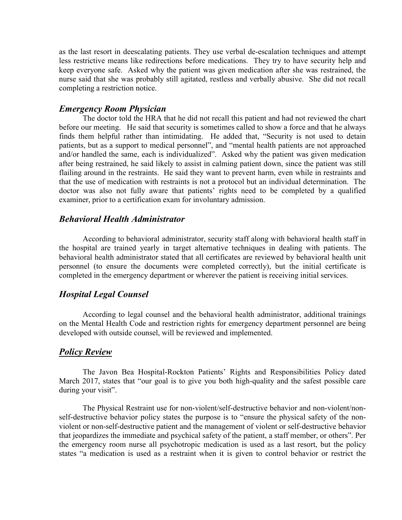as the last resort in deescalating patients. They use verbal de-escalation techniques and attempt less restrictive means like redirections before medications. They try to have security help and keep everyone safe. Asked why the patient was given medication after she was restrained, the nurse said that she was probably still agitated, restless and verbally abusive. She did not recall completing a restriction notice.

### Emergency Room Physician

The doctor told the HRA that he did not recall this patient and had not reviewed the chart before our meeting. He said that security is sometimes called to show a force and that he always finds them helpful rather than intimidating. He added that, "Security is not used to detain patients, but as a support to medical personnel", and "mental health patients are not approached and/or handled the same, each is individualized". Asked why the patient was given medication after being restrained, he said likely to assist in calming patient down, since the patient was still flailing around in the restraints. He said they want to prevent harm, even while in restraints and that the use of medication with restraints is not a protocol but an individual determination. The doctor was also not fully aware that patients' rights need to be completed by a qualified examiner, prior to a certification exam for involuntary admission.

### Behavioral Health Administrator

According to behavioral administrator, security staff along with behavioral health staff in the hospital are trained yearly in target alternative techniques in dealing with patients. The behavioral health administrator stated that all certificates are reviewed by behavioral health unit personnel (to ensure the documents were completed correctly), but the initial certificate is completed in the emergency department or wherever the patient is receiving initial services.

### Hospital Legal Counsel

According to legal counsel and the behavioral health administrator, additional trainings on the Mental Health Code and restriction rights for emergency department personnel are being developed with outside counsel, will be reviewed and implemented.

#### **Policy Review**

The Javon Bea Hospital-Rockton Patients' Rights and Responsibilities Policy dated March 2017, states that "our goal is to give you both high-quality and the safest possible care during your visit".

The Physical Restraint use for non-violent/self-destructive behavior and non-violent/nonself-destructive behavior policy states the purpose is to "ensure the physical safety of the nonviolent or non-self-destructive patient and the management of violent or self-destructive behavior that jeopardizes the immediate and psychical safety of the patient, a staff member, or others". Per the emergency room nurse all psychotropic medication is used as a last resort, but the policy states "a medication is used as a restraint when it is given to control behavior or restrict the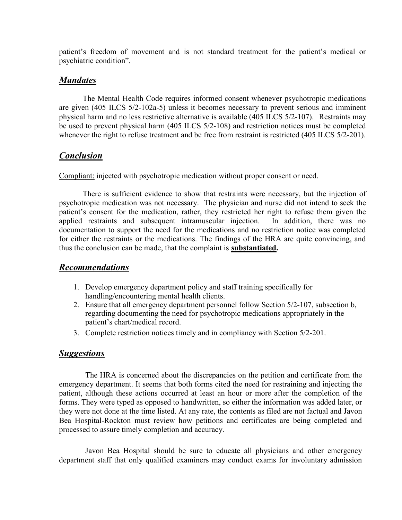patient's freedom of movement and is not standard treatment for the patient's medical or psychiatric condition".

## **Mandates**

The Mental Health Code requires informed consent whenever psychotropic medications are given (405 ILCS 5/2-102a-5) unless it becomes necessary to prevent serious and imminent physical harm and no less restrictive alternative is available (405 ILCS 5/2-107). Restraints may be used to prevent physical harm (405 ILCS 5/2-108) and restriction notices must be completed whenever the right to refuse treatment and be free from restraint is restricted (405 ILCS 5/2-201).

# Conclusion

Compliant: injected with psychotropic medication without proper consent or need.

There is sufficient evidence to show that restraints were necessary, but the injection of psychotropic medication was not necessary. The physician and nurse did not intend to seek the patient's consent for the medication, rather, they restricted her right to refuse them given the applied restraints and subsequent intramuscular injection. In addition, there was no documentation to support the need for the medications and no restriction notice was completed for either the restraints or the medications. The findings of the HRA are quite convincing, and thus the conclusion can be made, that the complaint is **substantiated.** 

# Recommendations

- 1. Develop emergency department policy and staff training specifically for handling/encountering mental health clients.
- 2. Ensure that all emergency department personnel follow Section 5/2-107, subsection b, regarding documenting the need for psychotropic medications appropriately in the patient's chart/medical record.
- 3. Complete restriction notices timely and in compliancy with Section 5/2-201.

# **Suggestions**

 The HRA is concerned about the discrepancies on the petition and certificate from the emergency department. It seems that both forms cited the need for restraining and injecting the patient, although these actions occurred at least an hour or more after the completion of the forms. They were typed as opposed to handwritten, so either the information was added later, or they were not done at the time listed. At any rate, the contents as filed are not factual and Javon Bea Hospital-Rockton must review how petitions and certificates are being completed and processed to assure timely completion and accuracy.

 Javon Bea Hospital should be sure to educate all physicians and other emergency department staff that only qualified examiners may conduct exams for involuntary admission